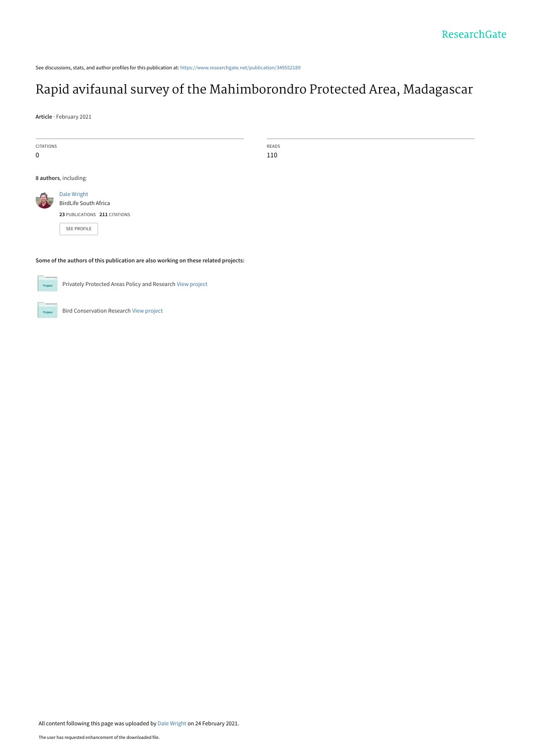See discussions, stats, and author profiles for this publication at: [https://www.researchgate.net/publication/349552189](https://www.researchgate.net/publication/349552189_Rapid_avifaunal_survey_of_the_Mahimborondro_Protected_Area_Madagascar?enrichId=rgreq-910adf9d7cebf174db2f81701a6a1621-XXX&enrichSource=Y292ZXJQYWdlOzM0OTU1MjE4OTtBUzo5OTQ2NTAyMTA5NjM0NTZAMTYxNDE1NDQ5ODIwOQ%3D%3D&el=1_x_2&_esc=publicationCoverPdf)

# [Rapid avifaunal survey of the Mahimborondro Protected Area, Madagascar](https://www.researchgate.net/publication/349552189_Rapid_avifaunal_survey_of_the_Mahimborondro_Protected_Area_Madagascar?enrichId=rgreq-910adf9d7cebf174db2f81701a6a1621-XXX&enrichSource=Y292ZXJQYWdlOzM0OTU1MjE4OTtBUzo5OTQ2NTAyMTA5NjM0NTZAMTYxNDE1NDQ5ODIwOQ%3D%3D&el=1_x_3&_esc=publicationCoverPdf)

**Article** · February 2021

| <b>CITATIONS</b>           |
|----------------------------|
| 0                          |
|                            |
| <b>Q authore</b> including |

READS 110

**8 authors**, including:

| Dale Wright<br>BirdLife South Africa |  |  |  |  |
|--------------------------------------|--|--|--|--|
| 23 PUBLICATIONS 211 CITATIONS        |  |  |  |  |

[SEE PROFILE](https://www.researchgate.net/profile/Dale-Wright?enrichId=rgreq-910adf9d7cebf174db2f81701a6a1621-XXX&enrichSource=Y292ZXJQYWdlOzM0OTU1MjE4OTtBUzo5OTQ2NTAyMTA5NjM0NTZAMTYxNDE1NDQ5ODIwOQ%3D%3D&el=1_x_7&_esc=publicationCoverPdf)

**Some of the authors of this publication are also working on these related projects:**

Privately Protected Areas Policy and Research [View project](https://www.researchgate.net/project/Privately-Protected-Areas-Policy-and-Research?enrichId=rgreq-910adf9d7cebf174db2f81701a6a1621-XXX&enrichSource=Y292ZXJQYWdlOzM0OTU1MjE4OTtBUzo5OTQ2NTAyMTA5NjM0NTZAMTYxNDE1NDQ5ODIwOQ%3D%3D&el=1_x_9&_esc=publicationCoverPdf)



Bird Conservation Research [View project](https://www.researchgate.net/project/Bird-Conservation-Research?enrichId=rgreq-910adf9d7cebf174db2f81701a6a1621-XXX&enrichSource=Y292ZXJQYWdlOzM0OTU1MjE4OTtBUzo5OTQ2NTAyMTA5NjM0NTZAMTYxNDE1NDQ5ODIwOQ%3D%3D&el=1_x_9&_esc=publicationCoverPdf)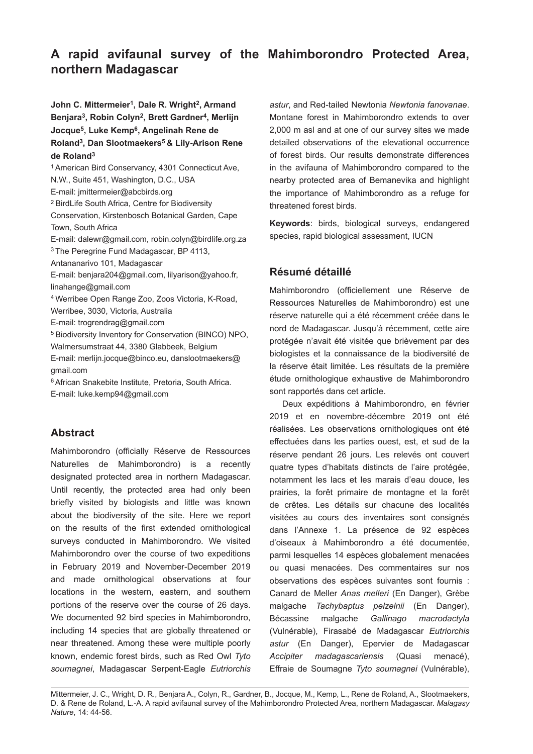## **A rapid avifaunal survey of the Mahimborondro Protected Area, northern Madagascar**

John C. Mittermeier<sup>1</sup>, Dale R. Wright<sup>2</sup>, Armand **Benjara3, Robin Colyn2, Brett Gardner4, Merlijn Jocque5, Luke Kemp6, Angelinah Rene de Roland3, Dan Slootmaekers5 & Lily-Arison Rene de Roland3**

1American Bird Conservancy, 4301 Connecticut Ave, N.W., Suite 451, Washington, D.C., USA E-mail: jmittermeier@abcbirds.org <sup>2</sup> BirdLife South Africa, Centre for Biodiversity Conservation, Kirstenbosch Botanical Garden, Cape Town, South Africa E-mail: dalewr@gmail.com, robin.colyn@birdlife.org.za <sup>3</sup> The Peregrine Fund Madagascar, BP 4113, Antananarivo 101, Madagascar E-mail: benjara204@gmail.com, lilyarison@yahoo.fr, linahange@gmail.com <sup>4</sup> Werribee Open Range Zoo, Zoos Victoria, K-Road, Werribee, 3030, Victoria, Australia E-mail: trogrendrag@gmail.com <sup>5</sup> Biodiversity Inventory for Conservation (BINCO) NPO, Walmersumstraat 44, 3380 Glabbeek, Belgium E-mail: merlijn.jocque@binco.eu, danslootmaekers@ gmail.com 6African Snakebite Institute, Pretoria, South Africa. E-mail: luke.kemp94@gmail.com

## **Abstract**

Mahimborondro (officially Réserve de Ressources Naturelles de Mahimborondro) is a recently designated protected area in northern Madagascar. Until recently, the protected area had only been briefly visited by biologists and little was known about the biodiversity of the site. Here we report on the results of the first extended ornithological surveys conducted in Mahimborondro. We visited Mahimborondro over the course of two expeditions in February 2019 and November-December 2019 and made ornithological observations at four locations in the western, eastern, and southern portions of the reserve over the course of 26 days. We documented 92 bird species in Mahimborondro, including 14 species that are globally threatened or near threatened. Among these were multiple poorly known, endemic forest birds, such as Red Owl *Tyto soumagnei*, Madagascar Serpent-Eagle *Eutriorchis* 

*astur*, and Red-tailed Newtonia *Newtonia fanovanae*. Montane forest in Mahimborondro extends to over 2,000 m asl and at one of our survey sites we made detailed observations of the elevational occurrence of forest birds. Our results demonstrate differences in the avifauna of Mahimborondro compared to the nearby protected area of Bemanevika and highlight the importance of Mahimborondro as a refuge for threatened forest birds.

**Keywords**: birds, biological surveys, endangered species, rapid biological assessment, IUCN

## **Résumé détaillé**

Mahimborondro (officiellement une Réserve de Ressources Naturelles de Mahimborondro) est une réserve naturelle qui a été récemment créée dans le nord de Madagascar. Jusqu'à récemment, cette aire protégée n'avait été visitée que brièvement par des biologistes et la connaissance de la biodiversité de la réserve était limitée. Les résultats de la première étude ornithologique exhaustive de Mahimborondro sont rapportés dans cet article.

Deux expéditions à Mahimborondro, en février 2019 et en novembre-décembre 2019 ont été réalisées. Les observations ornithologiques ont été effectuées dans les parties ouest, est, et sud de la réserve pendant 26 jours. Les relevés ont couvert quatre types d'habitats distincts de l'aire protégée, notamment les lacs et les marais d'eau douce, les prairies, la forêt primaire de montagne et la forêt de crêtes. Les détails sur chacune des localités visitées au cours des inventaires sont consignés dans l'Annexe 1. La présence de 92 espèces d'oiseaux à Mahimborondro a été documentée, parmi lesquelles 14 espèces globalement menacées ou quasi menacées. Des commentaires sur nos observations des espèces suivantes sont fournis : Canard de Meller *Anas melleri* (En Danger), Grèbe malgache *Tachybaptus pelzelnii* (En Danger), Bécassine malgache *Gallinago macrodactyla* (Vulnérable), Firasabé de Madagascar *Eutriorchis astur* (En Danger), Epervier de Madagascar *Accipiter madagascariensis* (Quasi menacé), Effraie de Soumagne *Tyto soumagnei* (Vulnérable),

Mittermeier, J. C., Wright, D. R., Benjara A., Colyn, R., Gardner, B., Jocque, M., Kemp, L., Rene de Roland, A., Slootmaekers, D. & Rene de Roland, L.-A. A rapid avifaunal survey of the Mahimborondro Protected Area, northern Madagascar. *Malagasy Nature*, 14: 44-56.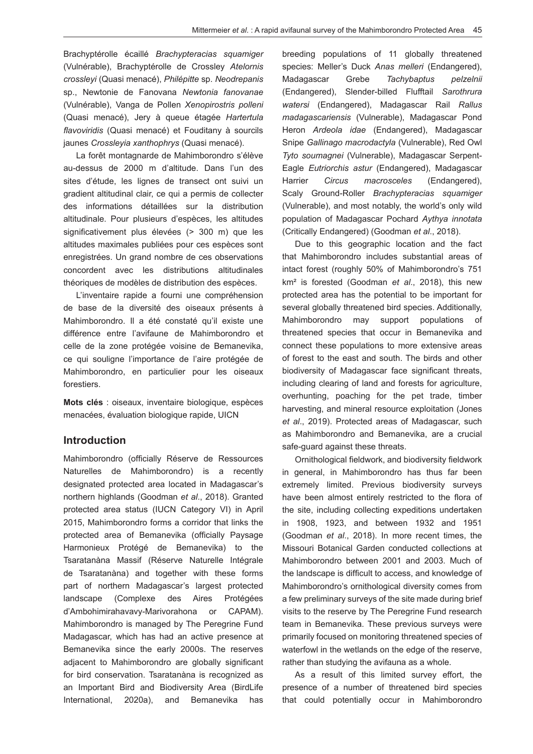Brachyptérolle écaillé *Brachypteracias squamiger* (Vulnérable), Brachyptérolle de Crossley *Atelornis crossleyi* (Quasi menacé), *Philépitte* sp. *Neodrepanis*  sp., Newtonie de Fanovana *Newtonia fanovanae* (Vulnérable), Vanga de Pollen *Xenopirostris polleni* (Quasi menacé), Jery à queue étagée *Hartertula flavoviridis* (Quasi menacé) et Fouditany à sourcils jaunes *Crossleyia xanthophrys* (Quasi menacé).

La forêt montagnarde de Mahimborondro s'élève au-dessus de 2000 m d'altitude. Dans l'un des sites d'étude, les lignes de transect ont suivi un gradient altitudinal clair, ce qui a permis de collecter des informations détaillées sur la distribution altitudinale. Pour plusieurs d'espèces, les altitudes significativement plus élevées (> 300 m) que les altitudes maximales publiées pour ces espèces sont enregistrées. Un grand nombre de ces observations concordent avec les distributions altitudinales théoriques de modèles de distribution des espèces.

L'inventaire rapide a fourni une compréhension de base de la diversité des oiseaux présents à Mahimborondro. Il a été constaté qu'il existe une différence entre l'avifaune de Mahimborondro et celle de la zone protégée voisine de Bemanevika, ce qui souligne l'importance de l'aire protégée de Mahimborondro, en particulier pour les oiseaux forestiers.

Mots clés : oiseaux, inventaire biologique, espèces menacées, évaluation biologique rapide, UICN

#### **Introduction**

Mahimborondro (officially Réserve de Ressources Naturelles de Mahimborondro) is a recently designated protected area located in Madagascar's northern highlands (Goodman *et al*., 2018). Granted protected area status (IUCN Category VI) in April 2015, Mahimborondro forms a corridor that links the protected area of Bemanevika (officially Paysage Harmonieux Protégé de Bemanevika) to the Tsaratanàna Massif (Réserve Naturelle Intégrale de Tsaratanàna) and together with these forms part of northern Madagascar's largest protected landscape (Complexe des Aires Protégées d'Ambohimirahavavy-Marivorahona or CAPAM). Mahimborondro is managed by The Peregrine Fund Madagascar, which has had an active presence at Bemanevika since the early 2000s. The reserves adjacent to Mahimborondro are globally significant for bird conservation. Tsaratanàna is recognized as an Important Bird and Biodiversity Area (BirdLife International, 2020a), and Bemanevika has breeding populations of 11 globally threatened species: Meller's Duck *Anas melleri* (Endangered), Madagascar Grebe *Tachybaptus pelzelnii*  (Endangered), Slender-billed Flufftail *Sarothrura watersi* (Endangered), Madagascar Rail *Rallus madagascariensis* (Vulnerable), Madagascar Pond Heron *Ardeola idae* (Endangered), Madagascar Snipe *Gallinago macrodactyla* (Vulnerable), Red Owl *Tyto soumagnei* (Vulnerable), Madagascar Serpent-Eagle *Eutriorchis astur* (Endangered), Madagascar Harrier *Circus macrosceles* (Endangered), Scaly Ground-Roller *Brachypteracias squamiger*  (Vulnerable), and most notably, the world's only wild population of Madagascar Pochard *Aythya innotata* (Critically Endangered) (Goodman *et al*., 2018).

Due to this geographic location and the fact that Mahimborondro includes substantial areas of intact forest (roughly 50% of Mahimborondro's 751 km² is forested (Goodman *et al*., 2018), this new protected area has the potential to be important for several globally threatened bird species. Additionally, Mahimborondro may support populations of threatened species that occur in Bemanevika and connect these populations to more extensive areas of forest to the east and south. The birds and other biodiversity of Madagascar face significant threats, including clearing of land and forests for agriculture, overhunting, poaching for the pet trade, timber harvesting, and mineral resource exploitation (Jones *et al*., 2019). Protected areas of Madagascar, such as Mahimborondro and Bemanevika, are a crucial safe-guard against these threats.

Ornithological fieldwork, and biodiversity fieldwork in general, in Mahimborondro has thus far been extremely limited. Previous biodiversity surveys have been almost entirely restricted to the flora of the site, including collecting expeditions undertaken in 1908, 1923, and between 1932 and 1951 (Goodman *et al*., 2018). In more recent times, the Missouri Botanical Garden conducted collections at Mahimborondro between 2001 and 2003. Much of the landscape is difficult to access, and knowledge of Mahimborondro's ornithological diversity comes from a few preliminary surveys of the site made during brief visits to the reserve by The Peregrine Fund research team in Bemanevika. These previous surveys were primarily focused on monitoring threatened species of waterfowl in the wetlands on the edge of the reserve, rather than studying the avifauna as a whole.

As a result of this limited survey effort, the presence of a number of threatened bird species that could potentially occur in Mahimborondro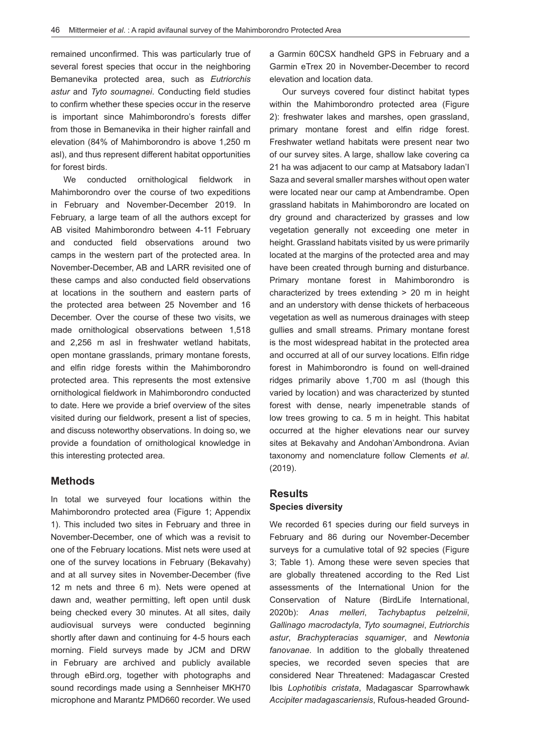remained unconfirmed. This was particularly true of several forest species that occur in the neighboring Bemanevika protected area, such as *Eutriorchis astur* and *Tyto soumagnei*. Conducting field studies to confirm whether these species occur in the reserve is important since Mahimborondro's forests differ from those in Bemanevika in their higher rainfall and elevation (84% of Mahimborondro is above 1,250 m asl), and thus represent different habitat opportunities for forest birds.

We conducted ornithological fieldwork in Mahimborondro over the course of two expeditions in February and November-December 2019. In February, a large team of all the authors except for AB visited Mahimborondro between 4-11 February and conducted field observations around two camps in the western part of the protected area. In November-December, AB and LARR revisited one of these camps and also conducted field observations at locations in the southern and eastern parts of the protected area between 25 November and 16 December. Over the course of these two visits, we made ornithological observations between 1,518 and 2,256 m asl in freshwater wetland habitats, open montane grasslands, primary montane forests, and elfin ridge forests within the Mahimborondro protected area. This represents the most extensive ornithological fieldwork in Mahimborondro conducted to date. Here we provide a brief overview of the sites visited during our fieldwork, present a list of species, and discuss noteworthy observations. In doing so, we provide a foundation of ornithological knowledge in this interesting protected area.

#### **Methods**

In total we surveyed four locations within the Mahimborondro protected area (Figure 1; Appendix 1). This included two sites in February and three in November-December, one of which was a revisit to one of the February locations. Mist nets were used at one of the survey locations in February (Bekavahy) and at all survey sites in November-December (five 12 m nets and three 6 m). Nets were opened at dawn and, weather permitting, left open until dusk being checked every 30 minutes. At all sites, daily audiovisual surveys were conducted beginning shortly after dawn and continuing for 4-5 hours each morning. Field surveys made by JCM and DRW in February are archived and publicly available through eBird.org, together with photographs and sound recordings made using a Sennheiser MKH70 microphone and Marantz PMD660 recorder. We used a Garmin 60CSX handheld GPS in February and a Garmin eTrex 20 in November-December to record elevation and location data.

Our surveys covered four distinct habitat types within the Mahimborondro protected area (Figure 2): freshwater lakes and marshes, open grassland, primary montane forest and elfin ridge forest. Freshwater wetland habitats were present near two of our survey sites. A large, shallow lake covering ca 21 ha was adjacent to our camp at Matsabory Iadan'I Saza and several smaller marshes without open water were located near our camp at Ambendrambe. Open grassland habitats in Mahimborondro are located on dry ground and characterized by grasses and low vegetation generally not exceeding one meter in height. Grassland habitats visited by us were primarily located at the margins of the protected area and may have been created through burning and disturbance. Primary montane forest in Mahimborondro is characterized by trees extending > 20 m in height and an understory with dense thickets of herbaceous vegetation as well as numerous drainages with steep gullies and small streams. Primary montane forest is the most widespread habitat in the protected area and occurred at all of our survey locations. Elfin ridge forest in Mahimborondro is found on well-drained ridges primarily above 1,700 m asl (though this varied by location) and was characterized by stunted forest with dense, nearly impenetrable stands of low trees growing to ca. 5 m in height. This habitat occurred at the higher elevations near our survey sites at Bekavahy and Andohan'Ambondrona. Avian taxonomy and nomenclature follow Clements *et al*. (2019).

## **Results Species diversity**

We recorded 61 species during our field surveys in February and 86 during our November-December surveys for a cumulative total of 92 species (Figure 3; Table 1). Among these were seven species that are globally threatened according to the Red List assessments of the International Union for the Conservation of Nature (BirdLife International, 2020b): *Anas melleri*, *Tachybaptus pelzelnii*, *Gallinago macrodactyla*, *Tyto soumagnei*, *Eutriorchis astur*, *Brachypteracias squamiger*, and *Newtonia fanovanae*. In addition to the globally threatened species, we recorded seven species that are considered Near Threatened: Madagascar Crested Ibis *Lophotibis cristata*, Madagascar Sparrowhawk *Accipiter madagascariensis*, Rufous-headed Ground-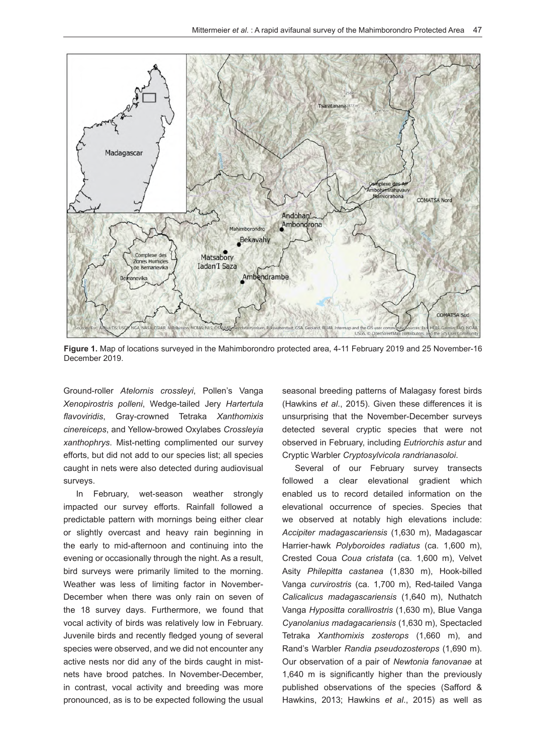

**Figure 1.** Map of locations surveyed in the Mahimborondro protected area, 4-11 February 2019 and 25 November-16 December 2019.

Ground-roller *Atelornis crossleyi*, Pollen's Vanga *Xenopirostris polleni*, Wedge-tailed Jery *Hartertula flavoviridis*, Gray-crowned Tetraka *Xanthomixis cinereiceps*, and Yellow-browed Oxylabes *Crossleyia xanthophrys*. Mist-netting complimented our survey efforts, but did not add to our species list; all species caught in nets were also detected during audiovisual surveys.

In February, wet-season weather strongly impacted our survey efforts. Rainfall followed a predictable pattern with mornings being either clear or slightly overcast and heavy rain beginning in the early to mid-afternoon and continuing into the evening or occasionally through the night. As a result, bird surveys were primarily limited to the morning. Weather was less of limiting factor in November-December when there was only rain on seven of the 18 survey days. Furthermore, we found that vocal activity of birds was relatively low in February. Juvenile birds and recently fledged young of several species were observed, and we did not encounter any active nests nor did any of the birds caught in mistnets have brood patches. In November-December, in contrast, vocal activity and breeding was more pronounced, as is to be expected following the usual seasonal breeding patterns of Malagasy forest birds (Hawkins *et al*., 2015). Given these differences it is unsurprising that the November-December surveys detected several cryptic species that were not observed in February, including *Eutriorchis astur* and Cryptic Warbler *Cryptosylvicola randrianasoloi*.

Several of our February survey transects followed a clear elevational gradient which enabled us to record detailed information on the elevational occurrence of species. Species that we observed at notably high elevations include: *Accipiter madagascariensis* (1,630 m), Madagascar Harrier-hawk *Polyboroides radiatus* (ca. 1,600 m), Crested Coua *Coua cristata* (ca. 1,600 m), Velvet Asity *Philepitta castanea* (1,830 m), Hook-billed Vanga *curvirostris* (ca. 1,700 m), Red-tailed Vanga *Calicalicus madagascariensis* (1,640 m), Nuthatch Vanga *Hypositta corallirostris* (1,630 m), Blue Vanga *Cyanolanius madagacariensis* (1,630 m), Spectacled Tetraka *Xanthomixis zosterops* (1,660 m), and Rand's Warbler *Randia pseudozosterops* (1,690 m). Our observation of a pair of *Newtonia fanovanae* at 1,640 m is significantly higher than the previously published observations of the species (Safford & Hawkins, 2013; Hawkins *et al*., 2015) as well as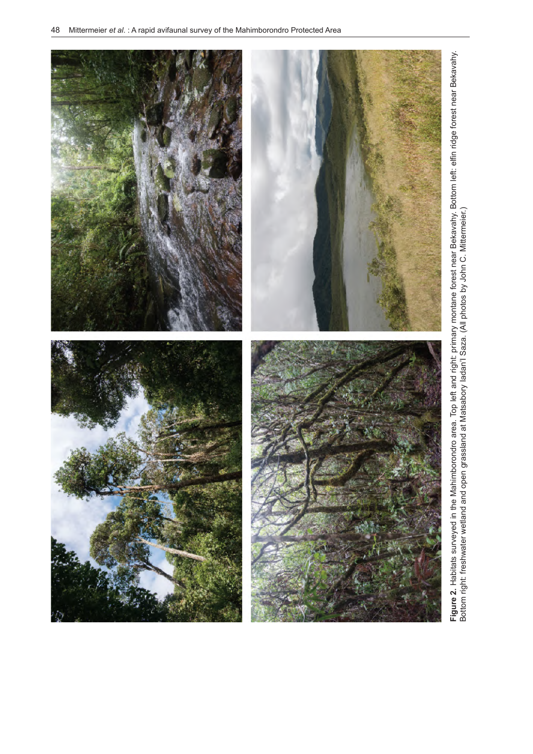

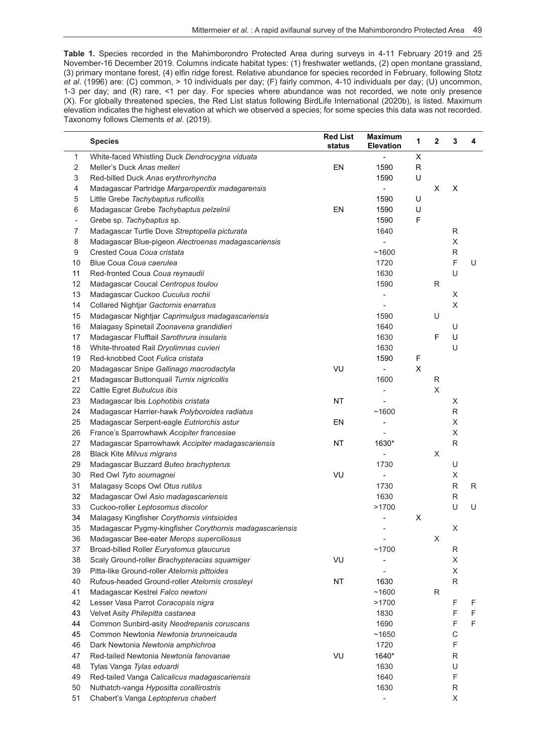**Table 1.** Species recorded in the Mahimborondro Protected Area during surveys in 4-11 February 2019 and 25 November-16 December 2019. Columns indicate habitat types: (1) freshwater wetlands, (2) open montane grassland, (3) primary montane forest, (4) elfin ridge forest. Relative abundance for species recorded in February, following Stotz *et al*. (1996) are: (C) common, > 10 individuals per day; (F) fairly common, 4-10 individuals per day; (U) uncommon, 1-3 per day; and (R) rare, <1 per day. For species where abundance was not recorded, we note only presence (X). For globally threatened species, the Red List status following BirdLife International (2020b), is listed. Maximum elevation indicates the highest elevation at which we observed a species; for some species this data was not recorded. Taxonomy follows Clements *et al*. (2019).

l,

|                           | <b>Species</b>                                           | <b>Red List</b><br>status | <b>Maximum</b><br><b>Elevation</b> | 1            | $\mathbf{2}$ | 3           | 4 |
|---------------------------|----------------------------------------------------------|---------------------------|------------------------------------|--------------|--------------|-------------|---|
| $\mathbf{1}$              | White-faced Whistling Duck Dendrocygna viduata           |                           |                                    | X            |              |             |   |
| $\sqrt{2}$                | Meller's Duck Anas melleri                               | EN                        | 1590                               | $\mathsf{R}$ |              |             |   |
| $\ensuremath{\mathsf{3}}$ | Red-billed Duck Anas erythrorhyncha                      |                           | 1590                               | U            |              |             |   |
| $\overline{4}$            | Madagascar Partridge Margaroperdix madagarensis          |                           | $\blacksquare$                     |              | X            | X           |   |
| 5                         | Little Grebe Tachybaptus ruficollis                      |                           | 1590                               | U            |              |             |   |
| 6                         | Madagascar Grebe Tachybaptus pelzelnii                   | EN                        | 1590                               | U            |              |             |   |
| $\overline{\phantom{a}}$  | Grebe sp. Tachybaptus sp.                                |                           | 1590                               | F            |              |             |   |
| $\overline{7}$            | Madagascar Turtle Dove Streptopelia picturata            |                           | 1640                               |              |              | R           |   |
| 8                         | Madagascar Blue-pigeon Alectroenas madagascariensis      |                           | ÷,                                 |              |              | X           |   |
| 9                         | Crested Coua Coua cristata                               |                           | ~1600                              |              |              | R           |   |
| 10                        | Blue Coua Coua caerulea                                  |                           | 1720                               |              |              | F           | U |
| 11                        | Red-fronted Coua Coua reynaudii                          |                           | 1630                               |              |              | U           |   |
| 12                        | Madagascar Coucal Centropus toulou                       |                           | 1590                               |              | ${\sf R}$    |             |   |
| 13                        | Madagascar Cuckoo Cuculus rochii                         |                           |                                    |              |              | X           |   |
| 14                        | Collared Nightjar Gactornis enarratus                    |                           |                                    |              |              | X           |   |
| 15                        | Madagascar Nightjar Caprimulgus madagascariensis         |                           | 1590                               |              | U            |             |   |
| 16                        | Malagasy Spinetail Zoonavena grandidieri                 |                           | 1640                               |              |              | U           |   |
| 17                        | Madagascar Flufftail Sarothrura insularis                |                           | 1630                               |              | F            | U           |   |
| 18                        | White-throated Rail Dryolimnas cuvieri                   |                           | 1630                               |              |              | U           |   |
| 19                        | Red-knobbed Coot Fulica cristata                         |                           | 1590                               | F            |              |             |   |
| 20                        | Madagascar Snipe Gallinago macrodactyla                  | VU                        | $\qquad \qquad \blacksquare$       | X            |              |             |   |
| 21                        | Madagascar Buttonquail Turnix nigricollis                |                           | 1600                               |              | R            |             |   |
| 22                        | Cattle Egret Bubulcus ibis                               |                           | ÷                                  |              | X            |             |   |
| 23                        | Madagascar Ibis Lophotibis cristata                      | <b>NT</b>                 |                                    |              |              | X           |   |
| 24                        | Madagascar Harrier-hawk Polyboroides radiatus            |                           | ~1600                              |              |              | R           |   |
| 25                        | Madagascar Serpent-eagle Eutriorchis astur               | EN                        | $\overline{\phantom{a}}$           |              |              | X           |   |
| 26                        | France's Sparrowhawk Accipiter francesiae                |                           |                                    |              |              | X           |   |
| 27                        | Madagascar Sparrowhawk Accipiter madagascariensis        | <b>NT</b>                 | 1630*                              |              |              | R           |   |
| 28                        | <b>Black Kite Milvus migrans</b>                         |                           |                                    |              | X            |             |   |
| 29                        | Madagascar Buzzard Buteo brachypterus                    |                           | 1730                               |              |              | U           |   |
| 30                        | Red Owl Tyto soumagnei                                   | VU                        |                                    |              |              | X           |   |
| 31                        | Malagasy Scops Owl Otus rutilus                          |                           | 1730                               |              |              | ${\sf R}$   | R |
| 32                        | Madagascar Owl Asio madagascariensis                     |                           | 1630                               |              |              | R           |   |
| 33                        | Cuckoo-roller Leptosomus discolor                        |                           | >1700                              |              |              | U           | U |
| 34                        | Malagasy Kingfisher Corythornis vintsioides              |                           |                                    | X            |              |             |   |
| 35                        | Madagascar Pygmy-kingfisher Corythornis madagascariensis |                           |                                    |              |              | X           |   |
| 36                        | Madagascar Bee-eater Merops superciliosus                |                           |                                    |              | X            |             |   |
| 37                        | Broad-billed Roller Eurystomus glaucurus                 |                           | ~1700                              |              |              | R           |   |
| 38                        | Scaly Ground-roller Brachypteracias squamiger            | VU                        |                                    |              |              | X           |   |
| 39                        | Pitta-like Ground-roller Atelornis pittoides             |                           |                                    |              |              | X           |   |
| 40                        | Rufous-headed Ground-roller Atelornis crossleyi          | NT                        | 1630                               |              |              | R           |   |
| 41                        | Madagascar Kestrel Falco newtoni                         |                           | ~1600                              |              | R            |             |   |
| 42                        | Lesser Vasa Parrot Coracopsis nigra                      |                           | >1700                              |              |              | F           | F |
| 43                        | Velvet Asity Philepitta castanea                         |                           | 1830                               |              |              | F           | F |
| 44                        | Common Sunbird-asity Neodrepanis coruscans               |                           | 1690                               |              |              | F           | F |
| 45                        | Common Newtonia Newtonia brunneicauda                    |                           | ~1650                              |              |              | $\mathsf C$ |   |
| 46                        | Dark Newtonia Newtonia amphichroa                        |                           | 1720                               |              |              | F           |   |
| 47                        | Red-tailed Newtonia Newtonia fanovanae                   | VU                        | 1640*                              |              |              | R           |   |
| 48                        | Tylas Vanga Tylas eduardi                                |                           | 1630                               |              |              | U           |   |
| 49                        | Red-tailed Vanga Calicalicus madagascariensis            |                           | 1640                               |              |              | F           |   |
| 50                        | Nuthatch-vanga Hypositta corallirostris                  |                           | 1630                               |              |              | R           |   |
| 51                        | Chabert's Vanga Leptopterus chabert                      |                           |                                    |              |              | X           |   |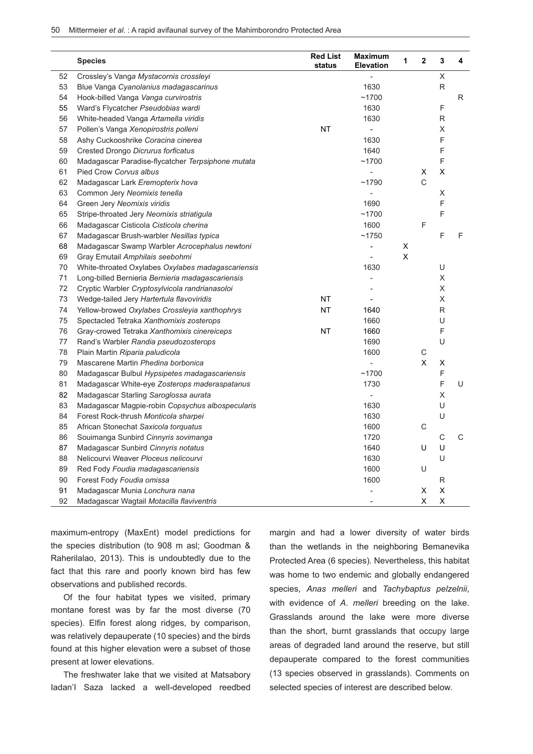|    | <b>Species</b>                                    | <b>Red List</b><br>status | <b>Maximum</b><br><b>Elevation</b> | 1 | $\mathbf{2}$ | 3           | 4 |
|----|---------------------------------------------------|---------------------------|------------------------------------|---|--------------|-------------|---|
| 52 | Crossley's Vanga Mystacornis crossleyi            |                           |                                    |   |              | X           |   |
| 53 | Blue Vanga Cyanolanius madagascarinus             |                           | 1630                               |   |              | R           |   |
| 54 | Hook-billed Vanga Vanga curvirostris              |                           | ~1700                              |   |              |             | R |
| 55 | Ward's Flycatcher Pseudobias wardi                |                           | 1630                               |   |              | F           |   |
| 56 | White-headed Vanga Artamella viridis              |                           | 1630                               |   |              | R           |   |
| 57 | Pollen's Vanga Xenopirostris polleni              | <b>NT</b>                 |                                    |   |              | X           |   |
| 58 | Ashy Cuckooshrike Coracina cinerea                |                           | 1630                               |   |              | F           |   |
| 59 | Crested Drongo Dicrurus forficatus                |                           | 1640                               |   |              | F           |   |
| 60 | Madagascar Paradise-flycatcher Terpsiphone mutata |                           | ~1700                              |   |              | F           |   |
| 61 | Pied Crow Corvus albus                            |                           |                                    |   | х            | X           |   |
| 62 | Madagascar Lark Eremopterix hova                  |                           | ~1790                              |   | $\mathsf C$  |             |   |
| 63 | Common Jery Neomixis tenella                      |                           |                                    |   |              | X           |   |
| 64 | Green Jery Neomixis viridis                       |                           | 1690                               |   |              | F           |   |
| 65 | Stripe-throated Jery Neomixis striatigula         |                           | ~1700                              |   |              | F           |   |
| 66 | Madagascar Cisticola Cisticola cherina            |                           | 1600                               |   | F            |             |   |
| 67 | Madagascar Brush-warbler Nesillas typica          |                           | ~1750                              |   |              | F           | F |
| 68 | Madagascar Swamp Warbler Acrocephalus newtoni     |                           | -                                  | X |              |             |   |
| 69 | Gray Emutail Amphilais seebohmi                   |                           | $\overline{a}$                     | X |              |             |   |
| 70 | White-throated Oxylabes Oxylabes madagascariensis |                           | 1630                               |   |              | U           |   |
| 71 | Long-billed Bernieria Bernieria madagascariensis  |                           | $\frac{1}{2}$                      |   |              | X           |   |
| 72 | Cryptic Warbler Cryptosylvicola randrianasoloi    |                           | L,                                 |   |              | X           |   |
| 73 | Wedge-tailed Jery Hartertula flavoviridis         | <b>NT</b>                 | $\overline{a}$                     |   |              | X           |   |
| 74 | Yellow-browed Oxylabes Crossleyia xanthophrys     | ΝT                        | 1640                               |   |              | R           |   |
| 75 | Spectacled Tetraka Xanthomixis zosterops          |                           | 1660                               |   |              | U           |   |
| 76 | Gray-crowed Tetraka Xanthomixis cinereiceps       | <b>NT</b>                 | 1660                               |   |              | F           |   |
| 77 | Rand's Warbler Randia pseudozosterops             |                           | 1690                               |   |              | U           |   |
| 78 | Plain Martin Riparia paludicola                   |                           | 1600                               |   | $\mathsf C$  |             |   |
| 79 | Mascarene Martin Phedina borbonica                |                           |                                    |   | X            | х           |   |
| 80 | Madagascar Bulbul Hypsipetes madagascariensis     |                           | ~1700                              |   |              | F           |   |
| 81 | Madagascar White-eye Zosterops maderaspatanus     |                           | 1730                               |   |              | F           | U |
| 82 | Madagascar Starling Saroglossa aurata             |                           | $\frac{1}{2}$                      |   |              | X           |   |
| 83 | Madagascar Magpie-robin Copsychus albospecularis  |                           | 1630                               |   |              | U           |   |
| 84 | Forest Rock-thrush Monticola sharpei              |                           | 1630                               |   |              | U           |   |
| 85 | African Stonechat Saxicola torquatus              |                           | 1600                               |   | $\mathsf C$  |             |   |
| 86 | Souimanga Sunbird Cinnyris sovimanga              |                           | 1720                               |   |              | $\mathsf C$ | C |
| 87 | Madagascar Sunbird Cinnyris notatus               |                           | 1640                               |   | U            | U           |   |
| 88 | Nelicourvi Weaver Ploceus nelicourvi              |                           | 1630                               |   |              | U           |   |
| 89 | Red Fody Foudia madagascariensis                  |                           | 1600                               |   | U            |             |   |
| 90 | Forest Fody Foudia omissa                         |                           | 1600                               |   |              | R           |   |
| 91 | Madagascar Munia Lonchura nana                    |                           | L,                                 |   | х            | Χ           |   |
| 92 | Madagascar Wagtail Motacilla flaviventris         |                           |                                    |   | $\sf X$      | $\sf X$     |   |

maximum-entropy (MaxEnt) model predictions for the species distribution (to 908 m asl; Goodman & Raherilalao, 2013). This is undoubtedly due to the fact that this rare and poorly known bird has few observations and published records.

Of the four habitat types we visited, primary montane forest was by far the most diverse (70 species). Elfin forest along ridges, by comparison, was relatively depauperate (10 species) and the birds found at this higher elevation were a subset of those present at lower elevations.

The freshwater lake that we visited at Matsabory Iadan'I Saza lacked a well-developed reedbed

margin and had a lower diversity of water birds than the wetlands in the neighboring Bemanevika Protected Area (6 species). Nevertheless, this habitat was home to two endemic and globally endangered species, *Anas melleri* and *Tachybaptus pelzelnii*, with evidence of *A*. *melleri* breeding on the lake. Grasslands around the lake were more diverse than the short, burnt grasslands that occupy large areas of degraded land around the reserve, but still depauperate compared to the forest communities (13 species observed in grasslands). Comments on selected species of interest are described below.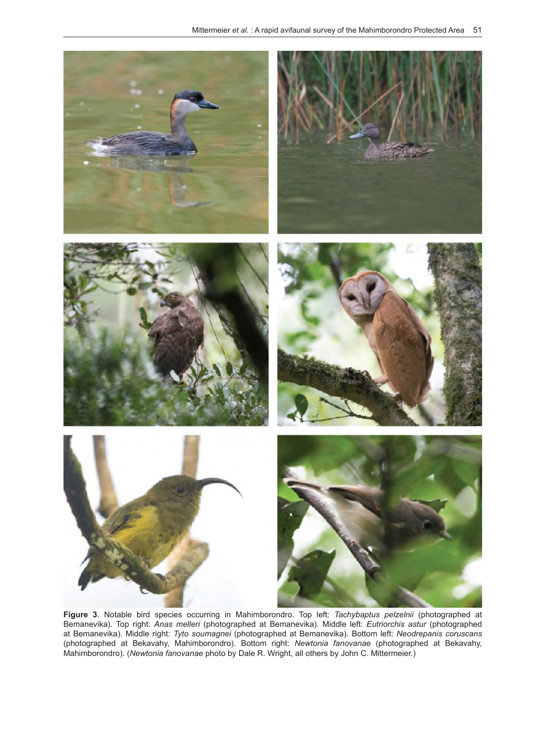

**Figure 3**. Notable bird species occurring in Mahimborondro. Top left: *Tachybaptus pelzelnii* (photographed at Bemanevika). Top right: *Anas melleri* (photographed at Bemanevika). Middle left: *Eutriorchis astur* (photographed at Bemanevika). Middle right: *Tyto soumagnei* (photographed at Bemanevika). Bottom left: *Neodrepanis coruscans* (photographed at Bekavahy, Mahimborondro). Bottom right: *Newtonia fanovanae* (photographed at Bekavahy, Mahimborondro). (*Newtonia fanovanae* photo by Dale R. Wright, all others by John C. Mittermeier.)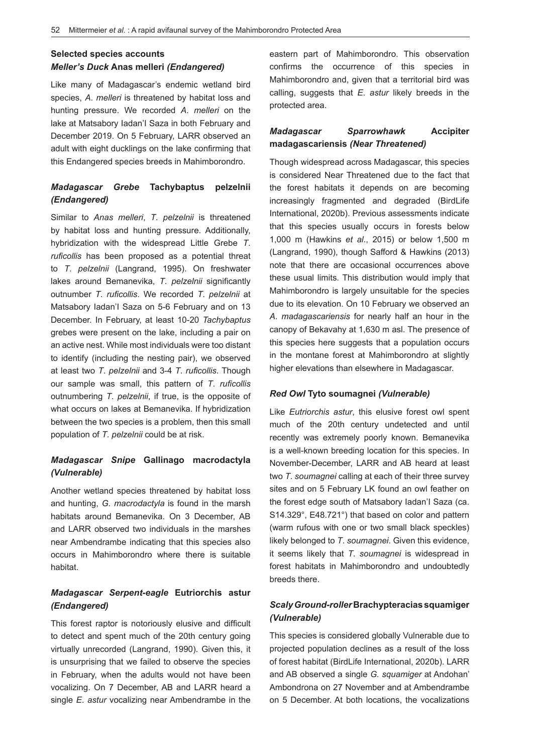## **Selected species accounts** *Meller's Duck* **Anas melleri** *(Endangered)*

Like many of Madagascar's endemic wetland bird species, *A*. *melleri* is threatened by habitat loss and hunting pressure. We recorded *A*. *melleri* on the lake at Matsabory Iadan'I Saza in both February and December 2019. On 5 February, LARR observed an adult with eight ducklings on the lake confirming that this Endangered species breeds in Mahimborondro.

## *Madagascar Grebe* **Tachybaptus pelzelnii**  *(Endangered)*

Similar to *Anas melleri*, *T*. *pelzelnii* is threatened by habitat loss and hunting pressure. Additionally, hybridization with the widespread Little Grebe *T*. *ruficollis* has been proposed as a potential threat to *T*. *pelzelnii* (Langrand, 1995). On freshwater lakes around Bemanevika, *T*. *pelzelnii* significantly outnumber *T*. *ruficollis*. We recorded *T*. *pelzelnii* at Matsabory Iadan'I Saza on 5-6 February and on 13 December. In February, at least 10-20 *Tachybaptus*  grebes were present on the lake, including a pair on an active nest. While most individuals were too distant to identify (including the nesting pair), we observed at least two *T*. *pelzelnii* and 3-4 *T*. *ruficollis*. Though our sample was small, this pattern of *T*. *ruficollis*  outnumbering *T*. *pelzelnii*, if true, is the opposite of what occurs on lakes at Bemanevika. If hybridization between the two species is a problem, then this small population of *T*. *pelzelnii* could be at risk.

## *Madagascar Snipe* **Gallinago macrodactyla**  *(Vulnerable)*

Another wetland species threatened by habitat loss and hunting, *G. macrodactyla* is found in the marsh habitats around Bemanevika. On 3 December, AB and LARR observed two individuals in the marshes near Ambendrambe indicating that this species also occurs in Mahimborondro where there is suitable habitat.

## *Madagascar Serpent-eagle* **Eutriorchis astur**  *(Endangered)*

This forest raptor is notoriously elusive and difficult to detect and spent much of the 20th century going virtually unrecorded (Langrand, 1990). Given this, it is unsurprising that we failed to observe the species in February, when the adults would not have been vocalizing. On 7 December, AB and LARR heard a single *E*. *astur* vocalizing near Ambendrambe in the

eastern part of Mahimborondro. This observation confirms the occurrence of this species in Mahimborondro and, given that a territorial bird was calling, suggests that *E*. *astur* likely breeds in the protected area.

## *Madagascar Sparrowhawk* **Accipiter madagascariensis** *(Near Threatened)*

Though widespread across Madagascar, this species is considered Near Threatened due to the fact that the forest habitats it depends on are becoming increasingly fragmented and degraded (BirdLife International, 2020b). Previous assessments indicate that this species usually occurs in forests below 1,000 m (Hawkins *et al*., 2015) or below 1,500 m (Langrand, 1990), though Safford & Hawkins (2013) note that there are occasional occurrences above these usual limits. This distribution would imply that Mahimborondro is largely unsuitable for the species due to its elevation. On 10 February we observed an *A*. *madagascariensis* for nearly half an hour in the canopy of Bekavahy at 1,630 m asl. The presence of this species here suggests that a population occurs in the montane forest at Mahimborondro at slightly higher elevations than elsewhere in Madagascar.

#### *Red Owl* **Tyto soumagnei** *(Vulnerable)*

Like *Eutriorchis astur*, this elusive forest owl spent much of the 20th century undetected and until recently was extremely poorly known. Bemanevika is a well-known breeding location for this species. In November-December, LARR and AB heard at least two *T*. *soumagnei* calling at each of their three survey sites and on 5 February LK found an owl feather on the forest edge south of Matsabory Iadan'I Saza (ca. S14.329°, E48.721°) that based on color and pattern (warm rufous with one or two small black speckles) likely belonged to *T*. *soumagnei*. Given this evidence, it seems likely that *T*. *soumagnei* is widespread in forest habitats in Mahimborondro and undoubtedly breeds there.

## *Scaly Ground-roller* **Brachypteracias squamiger**  *(Vulnerable)*

This species is considered globally Vulnerable due to projected population declines as a result of the loss of forest habitat (BirdLife International, 2020b). LARR and AB observed a single *G. squamiger* at Andohan' Ambondrona on 27 November and at Ambendrambe on 5 December. At both locations, the vocalizations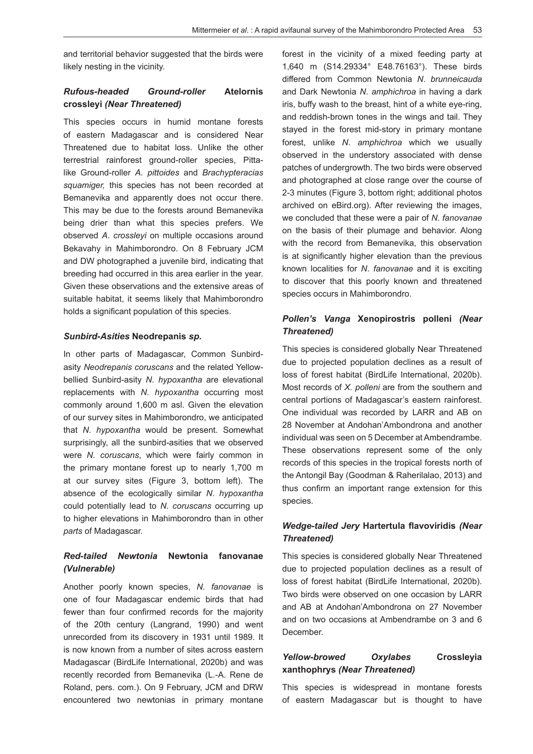and territorial behavior suggested that the birds were likely nesting in the vicinity.

## *Rufous-headed Ground-roller* **Atelornis crossleyi** *(Near Threatened)*

This species occurs in humid montane forests of eastern Madagascar and is considered Near Threatened due to habitat loss. Unlike the other terrestrial rainforest ground-roller species, Pittalike Ground-roller *A. pittoides* and *Brachypteracias squamiger,* this species has not been recorded at Bemanevika and apparently does not occur there. This may be due to the forests around Bemanevika being drier than what this species prefers. We observed *A*. *crossleyi* on multiple occasions around Bekavahy in Mahimborondro. On 8 February JCM and DW photographed a juvenile bird, indicating that breeding had occurred in this area earlier in the year. Given these observations and the extensive areas of suitable habitat, it seems likely that Mahimborondro holds a significant population of this species.

#### *Sunbird-Asities* **Neodrepanis** *sp.*

In other parts of Madagascar, Common Sunbirdasity *Neodrepanis coruscans* and the related Yellowbellied Sunbird-asity *N*. *hypoxantha* are elevational replacements with *N*. *hypoxantha* occurring most commonly around 1,600 m asl. Given the elevation of our survey sites in Mahimborondro, we anticipated that *N*. *hypoxantha* would be present. Somewhat surprisingly, all the sunbird-asities that we observed were *N*. *coruscans*, which were fairly common in the primary montane forest up to nearly 1,700 m at our survey sites (Figure 3, bottom left). The absence of the ecologically similar *N*. *hypoxantha*  could potentially lead to *N*. *coruscans* occurring up to higher elevations in Mahimborondro than in other *parts* of Madagascar.

## *Red-tailed Newtonia* **Newtonia fanovanae**  *(Vulnerable)*

Another poorly known species, *N. fanovanae* is one of four Madagascar endemic birds that had fewer than four confirmed records for the majority of the 20th century (Langrand, 1990) and went unrecorded from its discovery in 1931 until 1989. It is now known from a number of sites across eastern Madagascar (BirdLife International, 2020b) and was recently recorded from Bemanevika (L.-A. Rene de Roland, pers. com.). On 9 February, JCM and DRW encountered two newtonias in primary montane forest in the vicinity of a mixed feeding party at 1,640 m (S14.29334° E48.76163°). These birds differed from Common Newtonia *N*. *brunneicauda*  and Dark Newtonia *N*. *amphichroa* in having a dark iris, buffy wash to the breast, hint of a white eye-ring, and reddish-brown tones in the wings and tail. They stayed in the forest mid-story in primary montane forest, unlike *N*. *amphichroa* which we usually observed in the understory associated with dense patches of undergrowth. The two birds were observed and photographed at close range over the course of 2-3 minutes (Figure 3, bottom right; additional photos archived on eBird.org). After reviewing the images, we concluded that these were a pair of *N*. *fanovanae*  on the basis of their plumage and behavior. Along with the record from Bemanevika, this observation is at significantly higher elevation than the previous known localities for *N*. *fanovanae* and it is exciting to discover that this poorly known and threatened species occurs in Mahimborondro.

## *Pollen's Vanga* **Xenopirostris polleni** *(Near Threatened)*

This species is considered globally Near Threatened due to projected population declines as a result of loss of forest habitat (BirdLife International, 2020b). Most records of *X. polleni* are from the southern and central portions of Madagascar's eastern rainforest. One individual was recorded by LARR and AB on 28 November at Andohan'Ambondrona and another individual was seen on 5 December at Ambendrambe. These observations represent some of the only records of this species in the tropical forests north of the Antongil Bay (Goodman & Raherilalao, 2013) and thus confirm an important range extension for this species.

## *Wedge-tailed Jery* **Hartertula flavoviridis** *(Near Threatened)*

This species is considered globally Near Threatened due to projected population declines as a result of loss of forest habitat (BirdLife International, 2020b). Two birds were observed on one occasion by LARR and AB at Andohan'Ambondrona on 27 November and on two occasions at Ambendrambe on 3 and 6 December.

## *Yellow-browed Oxylabes* **Crossleyia xanthophrys** *(Near Threatened)*

This species is widespread in montane forests of eastern Madagascar but is thought to have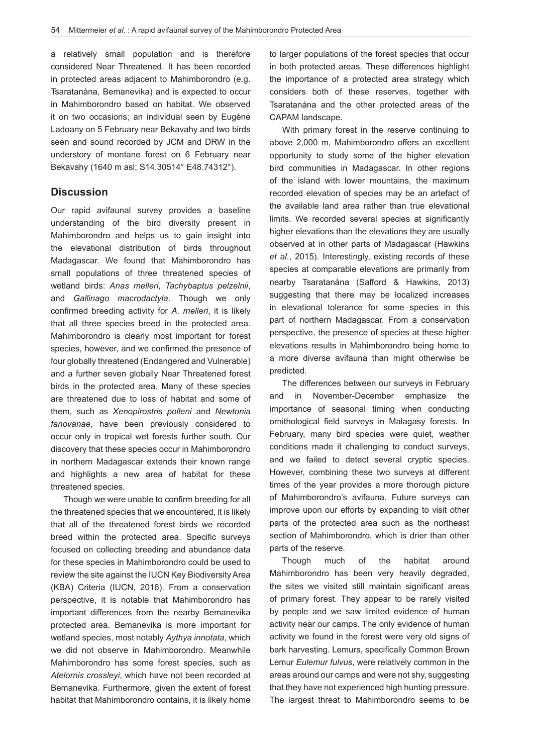a relatively small population and is therefore considered Near Threatened. It has been recorded in protected areas adjacent to Mahimborondro (e.g. Tsaratanàna, Bemanevika) and is expected to occur in Mahimborondro based on habitat. We observed it on two occasions; an individual seen by Eugène Ladoany on 5 February near Bekavahy and two birds seen and sound recorded by JCM and DRW in the understory of montane forest on 6 February near Bekavahy (1640 m asl; S14.30514° E48.74312°).

## **Discussion**

Our rapid avifaunal survey provides a baseline understanding of the bird diversity present in Mahimborondro and helps us to gain insight into the elevational distribution of birds throughout Madagascar. We found that Mahimborondro has small populations of three threatened species of wetland birds: *Anas melleri*, *Tachybaptus pelzelnii*, and *Gallinago macrodactyla*. Though we only confirmed breeding activity for *A*. *melleri*, it is likely that all three species breed in the protected area. Mahimborondro is clearly most important for forest species, however, and we confirmed the presence of four globally threatened (Endangered and Vulnerable) and a further seven globally Near Threatened forest birds in the protected area. Many of these species are threatened due to loss of habitat and some of them, such as *Xenopirostris polleni* and *Newtonia fanovanae*, have been previously considered to occur only in tropical wet forests further south. Our discovery that these species occur in Mahimborondro in northern Madagascar extends their known range and highlights a new area of habitat for these threatened species.

Though we were unable to confirm breeding for all the threatened species that we encountered, it is likely that all of the threatened forest birds we recorded breed within the protected area. Specific surveys focused on collecting breeding and abundance data for these species in Mahimborondro could be used to review the site against the IUCN Key Biodiversity Area (KBA) Criteria (IUCN, 2016). From a conservation perspective, it is notable that Mahimborondro has important differences from the nearby Bemanevika protected area. Bemanevika is more important for wetland species, most notably *Aythya innotata*, which we did not observe in Mahimborondro. Meanwhile Mahimborondro has some forest species, such as *Atelornis crossleyi*, which have not been recorded at Bemanevika. Furthermore, given the extent of forest habitat that Mahimborondro contains, it is likely home

to larger populations of the forest species that occur in both protected areas. These differences highlight the importance of a protected area strategy which considers both of these reserves, together with Tsaratanàna and the other protected areas of the CAPAM landscape.

With primary forest in the reserve continuing to above 2,000 m, Mahimborondro offers an excellent opportunity to study some of the higher elevation bird communities in Madagascar. In other regions of the island with lower mountains, the maximum recorded elevation of species may be an artefact of the available land area rather than true elevational limits. We recorded several species at significantly higher elevations than the elevations they are usually observed at in other parts of Madagascar (Hawkins *et al*., 2015). Interestingly, existing records of these species at comparable elevations are primarily from nearby Tsaratanàna (Safford & Hawkins, 2013) suggesting that there may be localized increases in elevational tolerance for some species in this part of northern Madagascar. From a conservation perspective, the presence of species at these higher elevations results in Mahimborondro being home to a more diverse avifauna than might otherwise be predicted.

The differences between our surveys in February and in November-December emphasize the importance of seasonal timing when conducting ornithological field surveys in Malagasy forests. In February, many bird species were quiet, weather conditions made it challenging to conduct surveys, and we failed to detect several cryptic species. However, combining these two surveys at different times of the year provides a more thorough picture of Mahimborondro's avifauna. Future surveys can improve upon our efforts by expanding to visit other parts of the protected area such as the northeast section of Mahimborondro, which is drier than other parts of the reserve.

Though much of the habitat around Mahimborondro has been very heavily degraded, the sites we visited still maintain significant areas of primary forest. They appear to be rarely visited by people and we saw limited evidence of human activity near our camps. The only evidence of human activity we found in the forest were very old signs of bark harvesting. Lemurs, specifically Common Brown Lemur *Eulemur fulvus*, were relatively common in the areas around our camps and were not shy, suggesting that they have not experienced high hunting pressure. The largest threat to Mahimborondro seems to be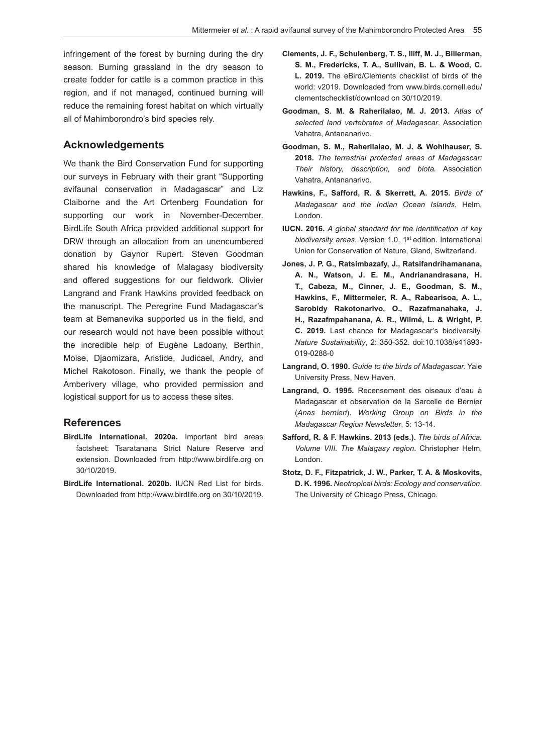infringement of the forest by burning during the dry season. Burning grassland in the dry season to create fodder for cattle is a common practice in this region, and if not managed, continued burning will reduce the remaining forest habitat on which virtually all of Mahimborondro's bird species rely.

#### **Acknowledgements**

We thank the Bird Conservation Fund for supporting our surveys in February with their grant "Supporting avifaunal conservation in Madagascar" and Liz Claiborne and the Art Ortenberg Foundation for supporting our work in November-December. BirdLife South Africa provided additional support for DRW through an allocation from an unencumbered donation by Gaynor Rupert. Steven Goodman shared his knowledge of Malagasy biodiversity and offered suggestions for our fieldwork. Olivier Langrand and Frank Hawkins provided feedback on the manuscript. The Peregrine Fund Madagascar's team at Bemanevika supported us in the field, and our research would not have been possible without the incredible help of Eugène Ladoany, Berthin, Moise, Djaomizara, Aristide, Judicael, Andry, and Michel Rakotoson. Finally, we thank the people of Amberivery village, who provided permission and logistical support for us to access these sites.

#### **References**

- **BirdLife International. 2020a.** Important bird areas factsheet: Tsaratanana Strict Nature Reserve and extension. Downloaded from http://www.birdlife.org on 30/10/2019.
- **BirdLife International. 2020b.** IUCN Red List for birds. Downloaded from http://www.birdlife.org on 30/10/2019.
- **Clements, J. F., Schulenberg, T. S., Iliff, M. J., Billerman, S. M., Fredericks, T. A., Sullivan, B. L. & Wood, C. L. 2019.** The eBird/Clements checklist of birds of the world: v2019. Downloaded from www.birds.cornell.edu/ clementschecklist/download on 30/10/2019.
- **Goodman, S. M. & Raherilalao, M. J. 2013.** *Atlas of selected land vertebrates of Madagascar*. Association Vahatra, Antananarivo.
- **Goodman, S. M., Raherilalao, M. J. & Wohlhauser, S. 2018.** *The terrestrial protected areas of Madagascar: Their history, description, and biota.* Association Vahatra, Antananarivo.
- **Hawkins, F., Safford, R. & Skerrett, A. 2015.** *Birds of Madagascar and the Indian Ocean Islands.* Helm, London.
- **IUCN. 2016.** *A global standard for the identification of key biodiversity areas*. Version 1.0. 1st edition. International Union for Conservation of Nature, Gland, Switzerland.
- **Jones, J. P. G., Ratsimbazafy, J., Ratsifandrihamanana, A. N., Watson, J. E. M., Andrianandrasana, H. T., Cabeza, M., Cinner, J. E., Goodman, S. M., Hawkins, F., Mittermeier, R. A., Rabearisoa, A. L., Sarobidy Rakotonarivo, O., Razafmanahaka, J. H., Razafmpahanana, A. R., Wilmé, L. & Wright, P. C. 2019.** Last chance for Madagascar's biodiversity. *Nature Sustainability*, 2: 350-352. doi:10.1038/s41893- 019-0288-0
- **Langrand, O. 1990.** *Guide to the birds of Madagascar.* Yale University Press, New Haven.
- **Langrand, O. 1995.** Recensement des oiseaux d'eau à Madagascar et observation de la Sarcelle de Bernier (*Anas bernieri*). *Working Group on Birds in the Madagascar Region Newsletter*, 5: 13-14.
- **Safford, R. & F. Hawkins. 2013 (eds.).** *The birds of Africa. Volume VIII. The Malagasy region*. Christopher Helm, London.
- **Stotz, D. F., Fitzpatrick, J. W., Parker, T. A. & Moskovits, D. K. 1996.** *Neotropical birds: Ecology and conservation*. The University of Chicago Press, Chicago.